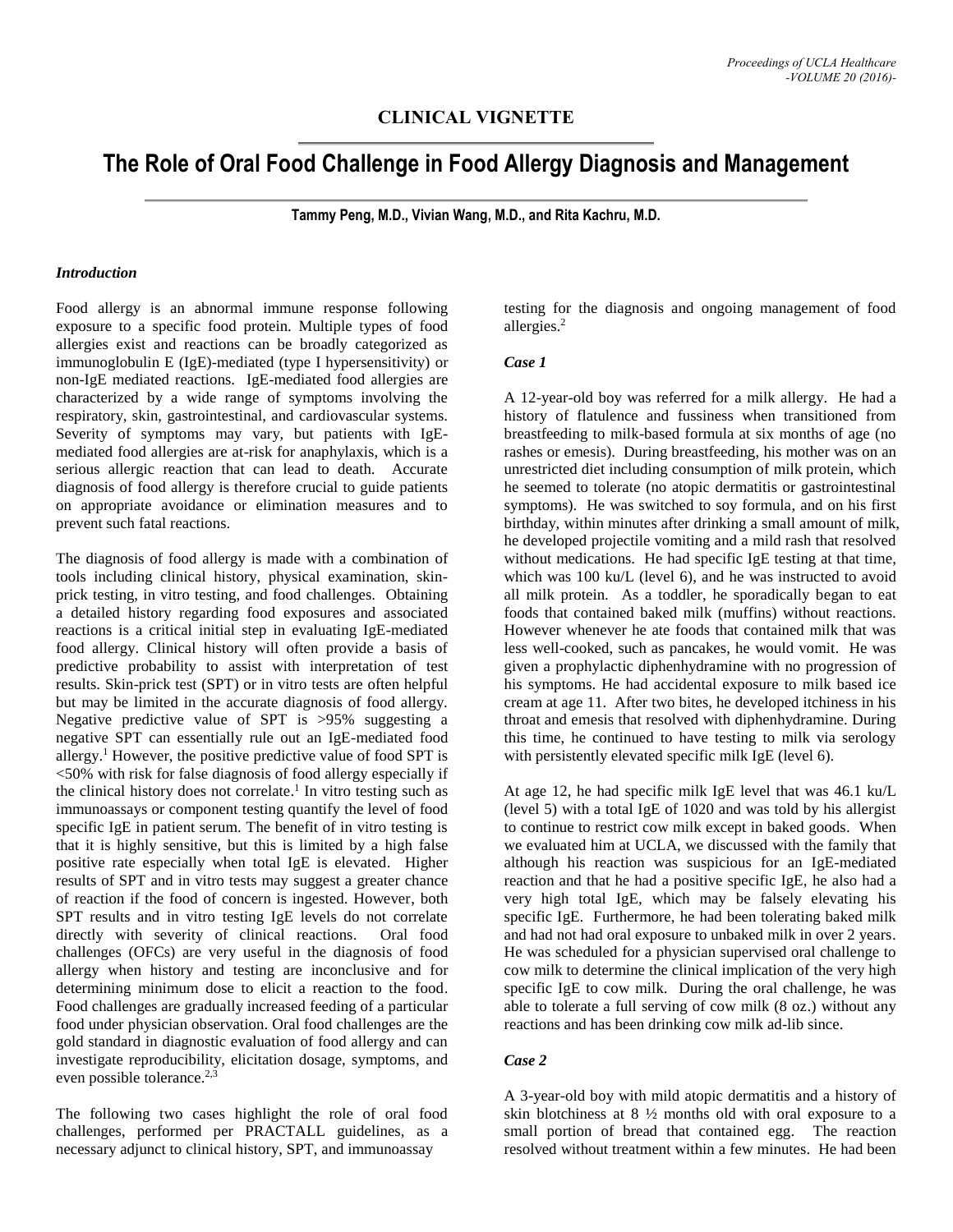## **CLINICAL VIGNETTE**

# **The Role of Oral Food Challenge in Food Allergy Diagnosis and Management**

**Tammy Peng, M.D., Vivian Wang, M.D., and Rita Kachru, M.D.**

#### *Introduction*

Food allergy is an abnormal immune response following exposure to a specific food protein. Multiple types of food allergies exist and reactions can be broadly categorized as immunoglobulin E (IgE)-mediated (type I hypersensitivity) or non-IgE mediated reactions. IgE-mediated food allergies are characterized by a wide range of symptoms involving the respiratory, skin, gastrointestinal, and cardiovascular systems. Severity of symptoms may vary, but patients with IgEmediated food allergies are at-risk for anaphylaxis, which is a serious allergic reaction that can lead to death. Accurate diagnosis of food allergy is therefore crucial to guide patients on appropriate avoidance or elimination measures and to prevent such fatal reactions.

The diagnosis of food allergy is made with a combination of tools including clinical history, physical examination, skinprick testing, in vitro testing, and food challenges. Obtaining a detailed history regarding food exposures and associated reactions is a critical initial step in evaluating IgE-mediated food allergy. Clinical history will often provide a basis of predictive probability to assist with interpretation of test results. Skin-prick test (SPT) or in vitro tests are often helpful but may be limited in the accurate diagnosis of food allergy. Negative predictive value of SPT is >95% suggesting a negative SPT can essentially rule out an IgE-mediated food allergy. <sup>1</sup> However, the positive predictive value of food SPT is <50% with risk for false diagnosis of food allergy especially if the clinical history does not correlate. 1 In vitro testing such as immunoassays or component testing quantify the level of food specific IgE in patient serum. The benefit of in vitro testing is that it is highly sensitive, but this is limited by a high false positive rate especially when total IgE is elevated. Higher results of SPT and in vitro tests may suggest a greater chance of reaction if the food of concern is ingested. However, both SPT results and in vitro testing IgE levels do not correlate directly with severity of clinical reactions. Oral food challenges (OFCs) are very useful in the diagnosis of food allergy when history and testing are inconclusive and for determining minimum dose to elicit a reaction to the food. Food challenges are gradually increased feeding of a particular food under physician observation. Oral food challenges are the gold standard in diagnostic evaluation of food allergy and can investigate reproducibility, elicitation dosage, symptoms, and even possible tolerance.<sup>2,3</sup>

The following two cases highlight the role of oral food challenges, performed per PRACTALL guidelines, as a necessary adjunct to clinical history, SPT, and immunoassay

testing for the diagnosis and ongoing management of food allergies. 2

#### *Case 1*

A 12-year-old boy was referred for a milk allergy. He had a history of flatulence and fussiness when transitioned from breastfeeding to milk-based formula at six months of age (no rashes or emesis). During breastfeeding, his mother was on an unrestricted diet including consumption of milk protein, which he seemed to tolerate (no atopic dermatitis or gastrointestinal symptoms). He was switched to soy formula, and on his first birthday, within minutes after drinking a small amount of milk, he developed projectile vomiting and a mild rash that resolved without medications. He had specific IgE testing at that time, which was 100 ku/L (level 6), and he was instructed to avoid all milk protein. As a toddler, he sporadically began to eat foods that contained baked milk (muffins) without reactions. However whenever he ate foods that contained milk that was less well-cooked, such as pancakes, he would vomit. He was given a prophylactic diphenhydramine with no progression of his symptoms. He had accidental exposure to milk based ice cream at age 11. After two bites, he developed itchiness in his throat and emesis that resolved with diphenhydramine. During this time, he continued to have testing to milk via serology with persistently elevated specific milk IgE (level 6).

At age 12, he had specific milk IgE level that was 46.1 ku/L (level 5) with a total IgE of 1020 and was told by his allergist to continue to restrict cow milk except in baked goods. When we evaluated him at UCLA, we discussed with the family that although his reaction was suspicious for an IgE-mediated reaction and that he had a positive specific IgE, he also had a very high total IgE, which may be falsely elevating his specific IgE. Furthermore, he had been tolerating baked milk and had not had oral exposure to unbaked milk in over 2 years. He was scheduled for a physician supervised oral challenge to cow milk to determine the clinical implication of the very high specific IgE to cow milk. During the oral challenge, he was able to tolerate a full serving of cow milk (8 oz.) without any reactions and has been drinking cow milk ad-lib since.

### *Case 2*

A 3-year-old boy with mild atopic dermatitis and a history of skin blotchiness at 8 ½ months old with oral exposure to a small portion of bread that contained egg. The reaction resolved without treatment within a few minutes. He had been